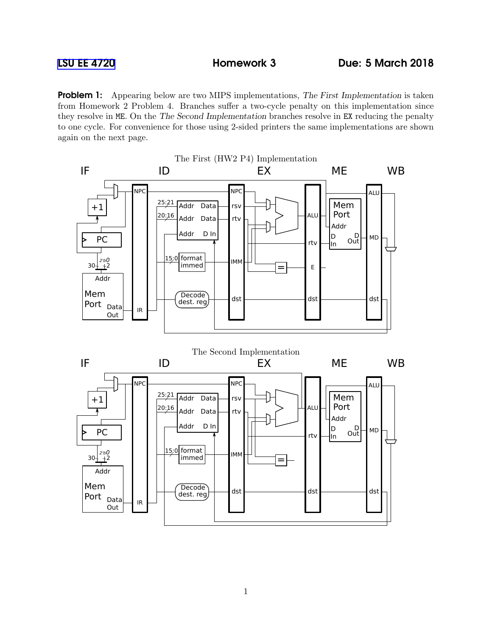**Problem 1:** Appearing below are two MIPS implementations, The First Implementation is taken from Homework 2 Problem 4. Branches suffer a two-cycle penalty on this implementation since they resolve in ME. On the The Second Implementation branches resolve in EX reducing the penalty to one cycle. For convenience for those using 2-sided printers the same implementations are shown again on the next page.

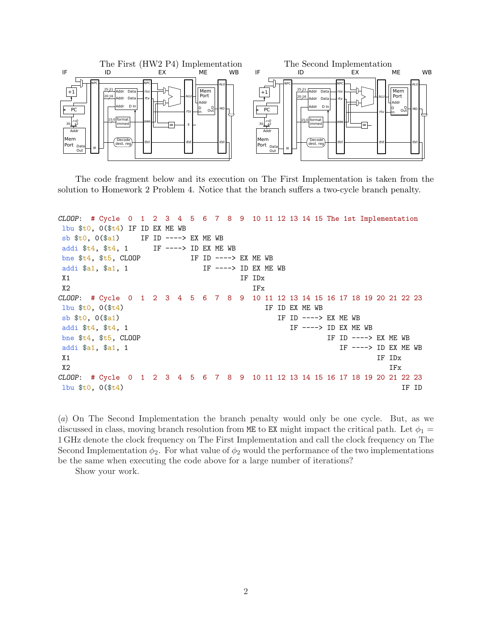

The code fragment below and its execution on The First Implementation is taken from the solution to Homework 2 Problem 4. Notice that the branch suffers a two-cycle branch penalty.

```
CLOOP: # Cycle 0 1 2 3 4 5 6 7 8 9 10 11 12 13 14 15 The 1st Implementation
lbu $t0, 0($t4) IF ID EX ME WB
sb $t0, 0($a1) IF ID ----> EX ME WB
addi t_4, t_4, 1 IF ----> ID EX ME WB
bne $t4, $t5, CLOOP IF ID ----> EX ME WB
addi $a1, $a1, 1 IF ----> ID EX ME WB
X1 IF IDx
 X2 IFx
CLOOP: # Cycle 0 1 2 3 4 5 6 7 8 9 10 11 12 13 14 15 16 17 18 19 20 21 22 23
1bu $t0, 0 ($t4) IF ID EX ME WB
\mathbb{S}^{\mathsf{b}} \mathsf{t} \mathsf{t} \mathsf{0}, \mathsf{0} \mathsf{t} \mathsf{t} \mathsf{t} \mathsf{0} \mathsf{0} \mathsf{0} \mathsf{t} \mathsf{t} \mathsf{t} \mathsf{0} \mathsf{0} \mathsf{0} \mathsf{t} \mathsf{t} \mathsf{t} \mathsf{t} \mathsf{t} \mathsf{t} \mathsf{taddi t_4, t_4, 1 is a set of the set of the set of the set of the set of the set of the set of the set of the set of the set of the set of the set of the set of the set of the set of the set of the set of the set of t
bne t_4, t_5, CLOOP IF ID ----> EX ME WB
addi \$a1, \$a1, 1 IF ---> ID EX ME WB
 X1 September 2014 and the separate service of the service of the service of the service of the service of the service of the service of the service of the service of the service of the service of the service of the service
 X2 IFx
CLOOP: # Cycle 0 1 2 3 4 5 6 7 8 9 10 11 12 13 14 15 16 17 18 19 20 21 22 23
1bu t_0, 0(t_1) IF ID
```
(a) On The Second Implementation the branch penalty would only be one cycle. But, as we discussed in class, moving branch resolution from ME to EX might impact the critical path. Let  $\phi_1$  = 1 GHz denote the clock frequency on The First Implementation and call the clock frequency on The Second Implementation  $\phi_2$ . For what value of  $\phi_2$  would the performance of the two implementations be the same when executing the code above for a large number of iterations?

Show your work.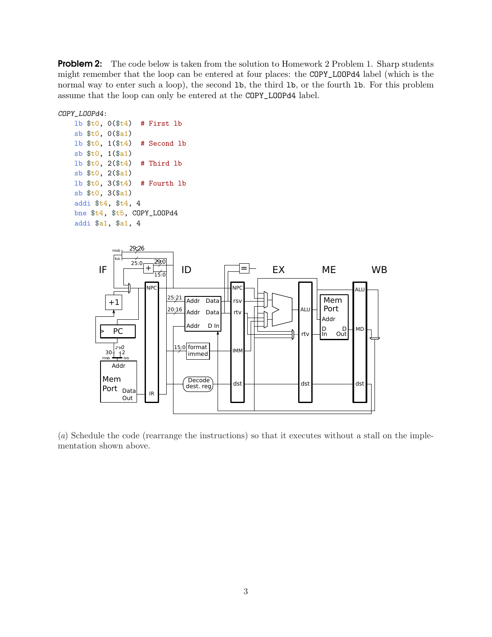**Problem 2:** The code below is taken from the solution to Homework 2 Problem 1. Sharp students might remember that the loop can be entered at four places: the COPY\_LOOPd4 label (which is the normal way to enter such a loop), the second 1b, the third 1b, or the fourth 1b. For this problem assume that the loop can only be entered at the COPY\_LOOPd4 label.

## COPY\_LOOPd4:

```
lb $t0, 0($t4) # First lb
sb $t0, 0($a1)
lb $t0, 1($t4) # Second lb
sb $t0, 1($a1)
1b $t0, 2 ($t4) # Third 1b
sb $t0, 2($a1)
lb t0, 3(f_t4) # Fourth lb
sb $t0, 3($a1)
addi $t4, $t4, 4
bne $t4, $t5, COPY_LOOPd4
addi $a1, $a1, 4
```


(a) Schedule the code (rearrange the instructions) so that it executes without a stall on the implementation shown above.